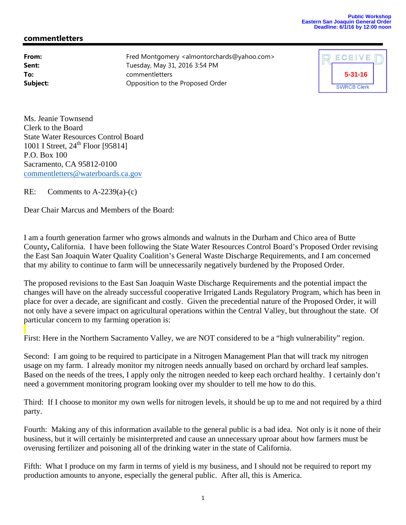## **Public Workshop Eastern San Joaquin General Order Deadline: 6/1/16 by 12:00 noon**

## **commentletters**

**From:** Fred Montgomery <almontorchards@yahoo.com> **Sent:** Tuesday, May 31, 2016 3:54 PM **To:** commentletters **Subject: CEP CODEN** Opposition to the Proposed Order



Ms. Jeanie Townsend Clerk to the Board State Water Resources Control Board 1001 I Street,  $24^{th}$  Floor [95814] P.O. Box 100 Sacramento, CA 95812-0100 commentletters@waterboards.ca.gov

RE: Comments to A-2239(a)-(c)

Dear Chair Marcus and Members of the Board:

I am a fourth generation farmer who grows almonds and walnuts in the Durham and Chico area of Butte County**,** California. I have been following the State Water Resources Control Board's Proposed Order revising the East San Joaquin Water Quality Coalition's General Waste Discharge Requirements, and I am concerned that my ability to continue to farm will be unnecessarily negatively burdened by the Proposed Order.

The proposed revisions to the East San Joaquin Waste Discharge Requirements and the potential impact the changes will have on the already successful cooperative Irrigated Lands Regulatory Program, which has been in place for over a decade, are significant and costly. Given the precedential nature of the Proposed Order, it will not only have a severe impact on agricultural operations within the Central Valley, but throughout the state. Of particular concern to my farming operation is:

First: Here in the Northern Sacramento Valley, we are NOT considered to be a "high vulnerability" region.

Second: I am going to be required to participate in a Nitrogen Management Plan that will track my nitrogen usage on my farm. I already monitor my nitrogen needs annually based on orchard by orchard leaf samples. Based on the needs of the trees, I apply only the nitrogen needed to keep each orchard healthy. I certainly don't need a government monitoring program looking over my shoulder to tell me how to do this.

Third: If I choose to monitor my own wells for nitrogen levels, it should be up to me and not required by a third party.

Fourth: Making any of this information available to the general public is a bad idea. Not only is it none of their business, but it will certainly be misinterpreted and cause an unnecessary uproar about how farmers must be overusing fertilizer and poisoning all of the drinking water in the state of California.

Fifth: What I produce on my farm in terms of yield is my business, and I should not be required to report my production amounts to anyone, especially the general public. After all, this is America.